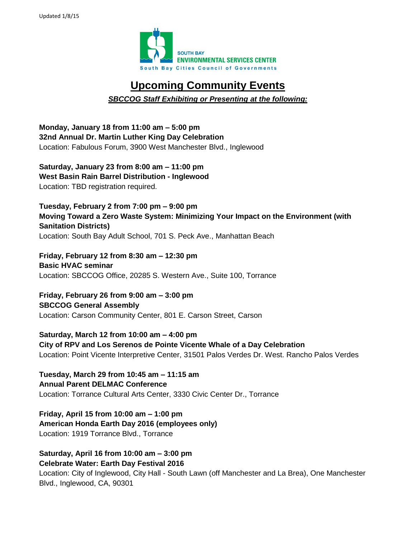

## **Upcoming Community Events**

## *SBCCOG Staff Exhibiting or Presenting at the following:*

**Monday, January 18 from 11:00 am – 5:00 pm 32nd Annual Dr. Martin Luther King Day Celebration** Location: Fabulous Forum, 3900 West Manchester Blvd., Inglewood

**Saturday, January 23 from 8:00 am – 11:00 pm West Basin Rain Barrel Distribution - Inglewood** Location: TBD registration required.

**Tuesday, February 2 from 7:00 pm – 9:00 pm Moving Toward a Zero Waste System: Minimizing Your Impact on the Environment (with Sanitation Districts)** Location: South Bay Adult School, 701 S. Peck Ave., Manhattan Beach

**Friday, February 12 from 8:30 am – 12:30 pm Basic HVAC seminar** Location: SBCCOG Office, 20285 S. Western Ave., Suite 100, Torrance

**Friday, February 26 from 9:00 am – 3:00 pm SBCCOG General Assembly** Location: Carson Community Center, 801 E. Carson Street, Carson

**Saturday, March 12 from 10:00 am – 4:00 pm City of RPV and Los Serenos de Pointe Vicente Whale of a Day Celebration** Location: Point Vicente Interpretive Center, 31501 Palos Verdes Dr. West. Rancho Palos Verdes

**Tuesday, March 29 from 10:45 am – 11:15 am Annual Parent DELMAC Conference** Location: Torrance Cultural Arts Center, 3330 Civic Center Dr., Torrance

**Friday, April 15 from 10:00 am – 1:00 pm American Honda Earth Day 2016 (employees only)** Location: 1919 Torrance Blvd., Torrance

**Saturday, April 16 from 10:00 am – 3:00 pm Celebrate Water: Earth Day Festival 2016**

Location: City of Inglewood, City Hall - South Lawn (off Manchester and La Brea), One Manchester Blvd., Inglewood, CA, 90301